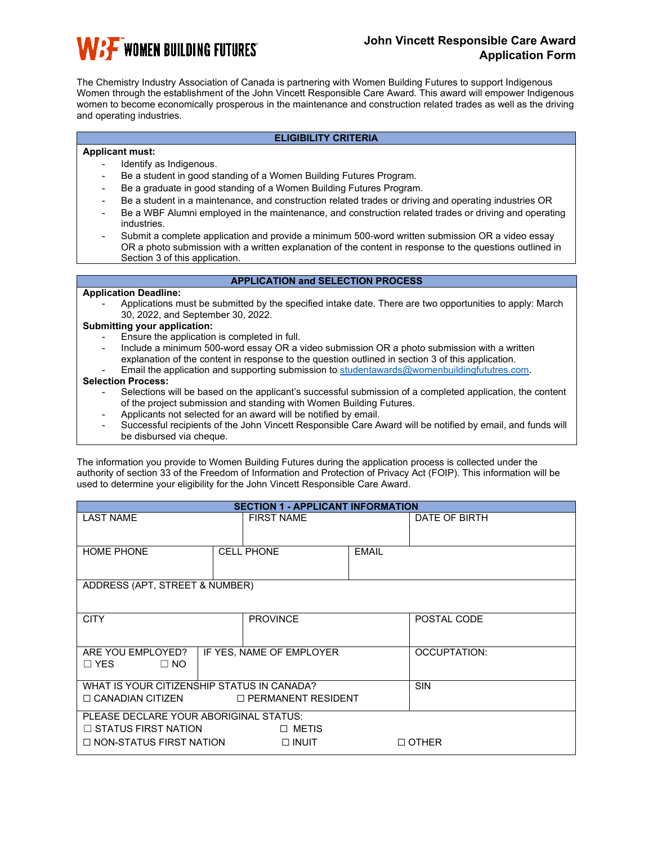

# **John Vincett Responsible Care Award Application Form**

The Chemistry Industry Association of Canada is partnering with Women Building Futures to support Indigenous Women through the establishment of the John Vincett Responsible Care Award. This award will empower Indigenous women to become economically prosperous in the maintenance and construction related trades as well as the driving and operating industries.

### **ELIGIBILITY CRITERIA**

### **Applicant must:**

- Identify as Indigenous.
- Be a student in good standing of a Women Building Futures Program.
- Be a graduate in good standing of a Women Building Futures Program.
- Be a student in a maintenance, and construction related trades or driving and operating industries OR
- Be a WBF Alumni employed in the maintenance, and construction related trades or driving and operating industries.
- Submit a complete application and provide a minimum 500-word written submission OR a video essay OR a photo submission with a written explanation of the content in response to the questions outlined in Section 3 of this application.

# **APPLICATION and SELECTION PROCESS**

### **Application Deadline:**

- Applications must be submitted by the specified intake date. There are two opportunities to apply: March 30, 2022, and September 30, 2022.

### **Submitting your application:**

- Ensure the application is completed in full.
- Include a minimum 500-word essay OR a video submission OR a photo submission with a written explanation of the content in response to the question outlined in section 3 of this application. Email the application and supporting submission to [studentawards@womenbuildingfututres.com.](mailto:studentawards@womenbuildingfututres.com)

### **Selection Process:**

- Selections will be based on the applicant's successful submission of a completed application, the content of the project submission and standing with Women Building Futures.
- Applicants not selected for an award will be notified by email.
- Successful recipients of the John Vincett Responsible Care Award will be notified by email, and funds will be disbursed via cheque.

The information you provide to Women Building Futures during the application process is collected under the authority of section 33 of the Freedom of Information and Protection of Privacy Act (FOIP). This information will be used to determine your eligibility for the John Vincett Responsible Care Award.

| <b>SECTION 1 - APPLICANT INFORMATION</b>                 |                      |                   |              |               |  |
|----------------------------------------------------------|----------------------|-------------------|--------------|---------------|--|
| <b>LAST NAME</b>                                         |                      | <b>FIRST NAME</b> |              | DATE OF BIRTH |  |
|                                                          |                      |                   |              |               |  |
| <b>HOME PHONE</b>                                        |                      | <b>CELL PHONE</b> | <b>EMAIL</b> |               |  |
|                                                          |                      |                   |              |               |  |
| ADDRESS (APT, STREET & NUMBER)                           |                      |                   |              |               |  |
|                                                          |                      |                   |              |               |  |
| <b>CITY</b>                                              |                      | <b>PROVINCE</b>   |              | POSTAL CODE   |  |
|                                                          |                      |                   |              |               |  |
| ARE YOU EMPLOYED?<br>IF YES, NAME OF EMPLOYER            |                      |                   |              | OCCUPTATION:  |  |
| $\Box$ YES<br>$\Box$ NO                                  |                      |                   |              |               |  |
| <b>SIN</b><br>WHAT IS YOUR CITIZENSHIP STATUS IN CANADA? |                      |                   |              |               |  |
| $\Box$ CANADIAN CITIZEN                                  | □ PERMANENT RESIDENT |                   |              |               |  |
| PLEASE DECLARE YOUR ABORIGINAL STATUS:                   |                      |                   |              |               |  |
| $\Box$ STATUS FIRST NATION<br>□ METIS                    |                      |                   |              |               |  |
| $\Box$ NON-STATUS FIRST NATION<br>$\Box$ INUIT           |                      |                   | $\Box$ OTHER |               |  |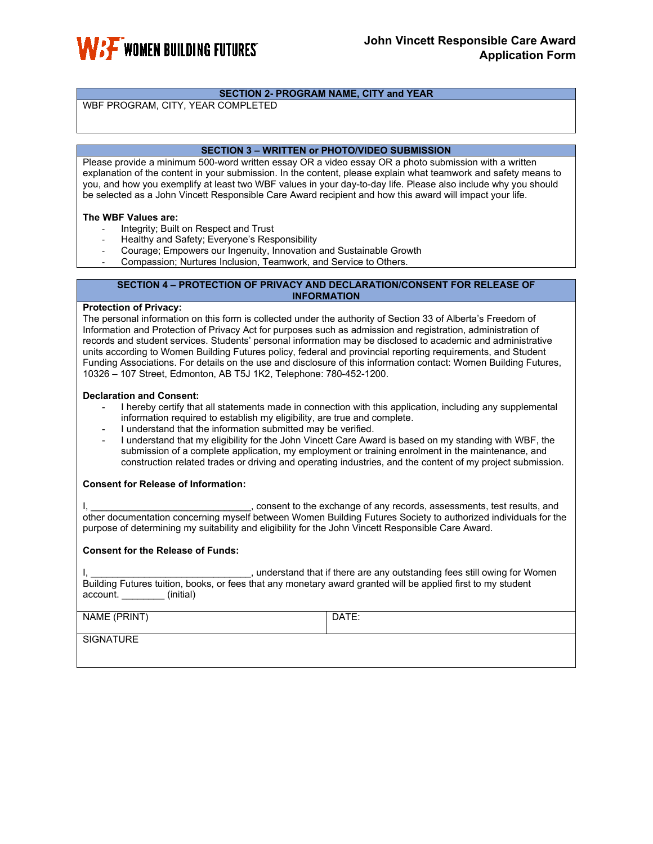

# **SECTION 2- PROGRAM NAME, CITY and YEAR**

WBF PROGRAM, CITY, YEAR COMPLETED

### **SECTION 3 – WRITTEN or PHOTO/VIDEO SUBMISSION**

Please provide a minimum 500-word written essay OR a video essay OR a photo submission with a written explanation of the content in your submission. In the content, please explain what teamwork and safety means to you, and how you exemplify at least two WBF values in your day-to-day life. Please also include why you should be selected as a John Vincett Responsible Care Award recipient and how this award will impact your life.

### **The WBF Values are:**

- Integrity; Built on Respect and Trust
- Healthy and Safety; Everyone's Responsibility
- Courage; Empowers our Ingenuity, Innovation and Sustainable Growth
- Compassion: Nurtures Inclusion, Teamwork, and Service to Others.

#### **SECTION 4 – PROTECTION OF PRIVACY AND DECLARATION/CONSENT FOR RELEASE OF INFORMATION**

### **Protection of Privacy:**

The personal information on this form is collected under the authority of Section 33 of Alberta's Freedom of Information and Protection of Privacy Act for purposes such as admission and registration, administration of records and student services. Students' personal information may be disclosed to academic and administrative units according to Women Building Futures policy, federal and provincial reporting requirements, and Student Funding Associations. For details on the use and disclosure of this information contact: Women Building Futures, 10326 – 107 Street, Edmonton, AB T5J 1K2, Telephone: 780-452-1200.

### **Declaration and Consent:**

- I hereby certify that all statements made in connection with this application, including any supplemental information required to establish my eligibility, are true and complete.
- I understand that the information submitted may be verified.
- I understand that my eligibility for the John Vincett Care Award is based on my standing with WBF, the submission of a complete application, my employment or training enrolment in the maintenance, and construction related trades or driving and operating industries, and the content of my project submission.

### **Consent for Release of Information:**

I, the exchange of any records, assessments, test results, and is resulted and records, assessments, test results, and other documentation concerning myself between Women Building Futures Society to authorized individuals for the purpose of determining my suitability and eligibility for the John Vincett Responsible Care Award.

### **Consent for the Release of Funds:**

, understand that if there are any outstanding fees still owing for Women Building Futures tuition, books, or fees that any monetary award granted will be applied first to my student account. \_\_\_\_\_\_\_\_ (initial)

NAME (PRINT) DATE:

**SIGNATURE**